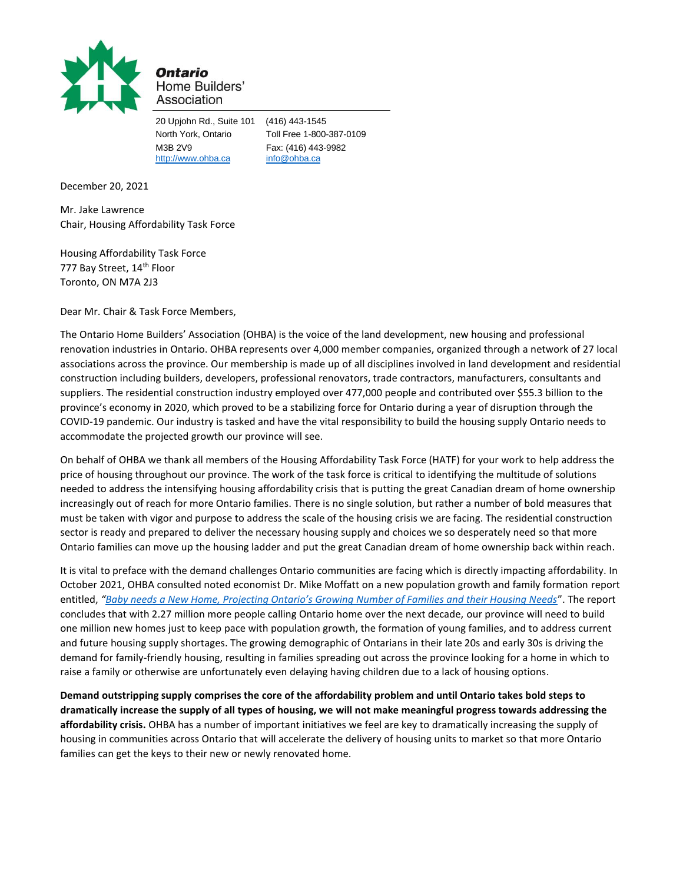

20 Upjohn Rd., Suite 101 (416) 443-1545 North York, Ontario Toll Free 1-800-387-0109 M3B 2V9 Fax: (416) 443-9982 [http://www.ohba.ca](http://www.ohba.ca/) [info@ohba.ca](mailto:info@ohba.ca)

December 20, 2021

Mr. Jake Lawrence Chair, Housing Affordability Task Force

Housing Affordability Task Force 777 Bay Street, 14<sup>th</sup> Floor Toronto, ON M7A 2J3

Dear Mr. Chair & Task Force Members,

The Ontario Home Builders' Association (OHBA) is the voice of the land development, new housing and professional renovation industries in Ontario. OHBA represents over 4,000 member companies, organized through a network of 27 local associations across the province. Our membership is made up of all disciplines involved in land development and residential construction including builders, developers, professional renovators, trade contractors, manufacturers, consultants and suppliers. The residential construction industry employed over 477,000 people and contributed over \$55.3 billion to the province's economy in 2020, which proved to be a stabilizing force for Ontario during a year of disruption through the COVID-19 pandemic. Our industry is tasked and have the vital responsibility to build the housing supply Ontario needs to accommodate the projected growth our province will see.

On behalf of OHBA we thank all members of the Housing Affordability Task Force (HATF) for your work to help address the price of housing throughout our province. The work of the task force is critical to identifying the multitude of solutions needed to address the intensifying housing affordability crisis that is putting the great Canadian dream of home ownership increasingly out of reach for more Ontario families. There is no single solution, but rather a number of bold measures that must be taken with vigor and purpose to address the scale of the housing crisis we are facing. The residential construction sector is ready and prepared to deliver the necessary housing supply and choices we so desperately need so that more Ontario families can move up the housing ladder and put the great Canadian dream of home ownership back within reach.

It is vital to preface with the demand challenges Ontario communities are facing which is directly impacting affordability. In October 2021, OHBA consulted noted economist Dr. Mike Moffatt on a new population growth and family formation report entitled, *["Baby needs a New Home, Projecting Ontario's Growing Number of Families and their Housing Needs](https://institute.smartprosperity.ca/sites/default/files/Baby-Needs-a-New-Home-Oct-1.pdf)*". The report concludes that with 2.27 million more people calling Ontario home over the next decade, our province will need to build one million new homes just to keep pace with population growth, the formation of young families, and to address current and future housing supply shortages. The growing demographic of Ontarians in their late 20s and early 30s is driving the demand for family-friendly housing, resulting in families spreading out across the province looking for a home in which to raise a family or otherwise are unfortunately even delaying having children due to a lack of housing options.

**Demand outstripping supply comprises the core of the affordability problem and until Ontario takes bold steps to dramatically increase the supply of all types of housing, we will not make meaningful progress towards addressing the affordability crisis.** OHBA has a number of important initiatives we feel are key to dramatically increasing the supply of housing in communities across Ontario that will accelerate the delivery of housing units to market so that more Ontario families can get the keys to their new or newly renovated home.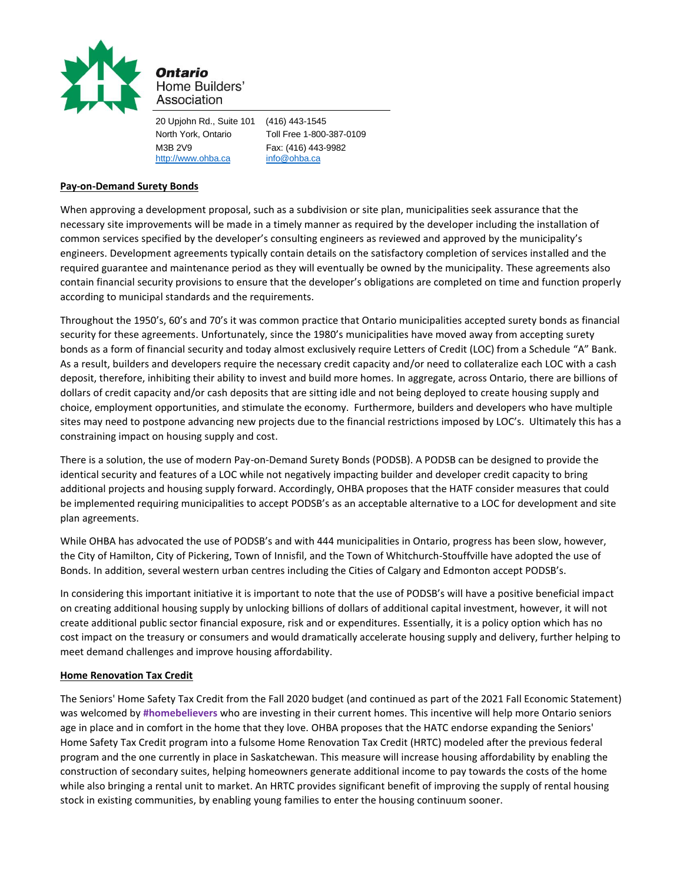

20 Upjohn Rd., Suite 101 (416) 443-1545 North York, Ontario Toll Free 1-800-387-0109 M3B 2V9 Fax: (416) 443-9982 [http://www.ohba.ca](http://www.ohba.ca/) [info@ohba.ca](mailto:info@ohba.ca)

#### **Pay-on-Demand Surety Bonds**

When approving a development proposal, such as a subdivision or site plan, municipalities seek assurance that the necessary site improvements will be made in a timely manner as required by the developer including the installation of common services specified by the developer's consulting engineers as reviewed and approved by the municipality's engineers. Development agreements typically contain details on the satisfactory completion of services installed and the required guarantee and maintenance period as they will eventually be owned by the municipality. These agreements also contain financial security provisions to ensure that the developer's obligations are completed on time and function properly according to municipal standards and the requirements.

Throughout the 1950's, 60's and 70's it was common practice that Ontario municipalities accepted surety bonds as financial security for these agreements. Unfortunately, since the 1980's municipalities have moved away from accepting surety bonds as a form of financial security and today almost exclusively require Letters of Credit (LOC) from a Schedule "A" Bank. As a result, builders and developers require the necessary credit capacity and/or need to collateralize each LOC with a cash deposit, therefore, inhibiting their ability to invest and build more homes. In aggregate, across Ontario, there are billions of dollars of credit capacity and/or cash deposits that are sitting idle and not being deployed to create housing supply and choice, employment opportunities, and stimulate the economy. Furthermore, builders and developers who have multiple sites may need to postpone advancing new projects due to the financial restrictions imposed by LOC's. Ultimately this has a constraining impact on housing supply and cost.

There is a solution, the use of modern Pay-on-Demand Surety Bonds (PODSB). A PODSB can be designed to provide the identical security and features of a LOC while not negatively impacting builder and developer credit capacity to bring additional projects and housing supply forward. Accordingly, OHBA proposes that the HATF consider measures that could be implemented requiring municipalities to accept PODSB's as an acceptable alternative to a LOC for development and site plan agreements.

While OHBA has advocated the use of PODSB's and with 444 municipalities in Ontario, progress has been slow, however, the City of Hamilton, City of Pickering, Town of Innisfil, and the Town of Whitchurch-Stouffville have adopted the use of Bonds. In addition, several western urban centres including the Cities of Calgary and Edmonton accept PODSB's.

In considering this important initiative it is important to note that the use of PODSB's will have a positive beneficial impact on creating additional housing supply by unlocking billions of dollars of additional capital investment, however, it will not create additional public sector financial exposure, risk and or expenditures. Essentially, it is a policy option which has no cost impact on the treasury or consumers and would dramatically accelerate housing supply and delivery, further helping to meet demand challenges and improve housing affordability.

#### **Home Renovation Tax Credit**

The Seniors' Home Safety Tax Credit from the Fall 2020 budget (and continued as part of the 2021 Fall Economic Statement) was welcomed by **#homebelievers** who are investing in their current homes. This incentive will help more Ontario seniors age in place and in comfort in the home that they love. OHBA proposes that the HATC endorse expanding the Seniors' Home Safety Tax Credit program into a fulsome Home Renovation Tax Credit (HRTC) modeled after the previous federal program and the one currently in place in Saskatchewan. This measure will increase housing affordability by enabling the construction of secondary suites, helping homeowners generate additional income to pay towards the costs of the home while also bringing a rental unit to market. An HRTC provides significant benefit of improving the supply of rental housing stock in existing communities, by enabling young families to enter the housing continuum sooner.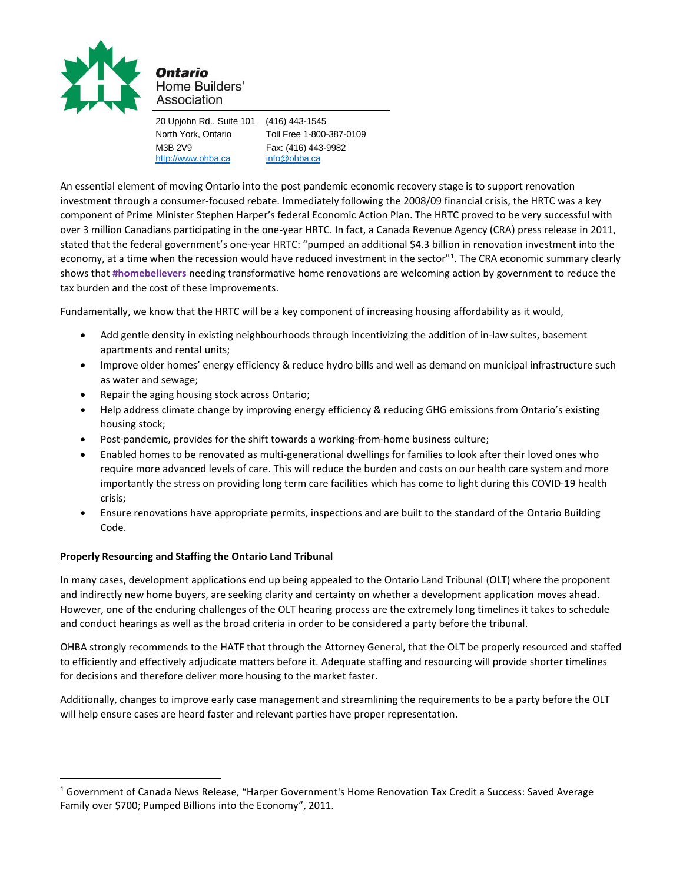

20 Upjohn Rd., Suite 101 (416) 443-1545 North York, Ontario Toll Free 1-800-387-0109 M3B 2V9 Fax: (416) 443-9982 [http://www.ohba.ca](http://www.ohba.ca/) [info@ohba.ca](mailto:info@ohba.ca)

An essential element of moving Ontario into the post pandemic economic recovery stage is to support renovation investment through a consumer-focused rebate. Immediately following the 2008/09 financial crisis, the HRTC was a key component of Prime Minister Stephen Harper's federal Economic Action Plan. The HRTC proved to be very successful with over 3 million Canadians participating in the one-year HRTC. In fact, a Canada Revenue Agency (CRA) press release in 2011, stated that the federal government's one-year HRTC: "pumped an additional \$4.3 billion in renovation investment into the economy, at a time when the recession would have reduced investment in the sector"<sup>1</sup>. The CRA economic summary clearly shows that **#homebelievers** needing transformative home renovations are welcoming action by government to reduce the tax burden and the cost of these improvements.

Fundamentally, we know that the HRTC will be a key component of increasing housing affordability as it would,

- Add gentle density in existing neighbourhoods through incentivizing the addition of in-law suites, basement apartments and rental units;
- Improve older homes' energy efficiency & reduce hydro bills and well as demand on municipal infrastructure such as water and sewage;
- Repair the aging housing stock across Ontario;
- Help address climate change by improving energy efficiency & reducing GHG emissions from Ontario's existing housing stock;
- Post-pandemic, provides for the shift towards a working-from-home business culture;
- Enabled homes to be renovated as multi-generational dwellings for families to look after their loved ones who require more advanced levels of care. This will reduce the burden and costs on our health care system and more importantly the stress on providing long term care facilities which has come to light during this COVID-19 health crisis;
- Ensure renovations have appropriate permits, inspections and are built to the standard of the Ontario Building Code.

# **Properly Resourcing and Staffing the Ontario Land Tribunal**

In many cases, development applications end up being appealed to the Ontario Land Tribunal (OLT) where the proponent and indirectly new home buyers, are seeking clarity and certainty on whether a development application moves ahead. However, one of the enduring challenges of the OLT hearing process are the extremely long timelines it takes to schedule and conduct hearings as well as the broad criteria in order to be considered a party before the tribunal.

OHBA strongly recommends to the HATF that through the Attorney General, that the OLT be properly resourced and staffed to efficiently and effectively adjudicate matters before it. Adequate staffing and resourcing will provide shorter timelines for decisions and therefore deliver more housing to the market faster.

Additionally, changes to improve early case management and streamlining the requirements to be a party before the OLT will help ensure cases are heard faster and relevant parties have proper representation.

<sup>&</sup>lt;sup>1</sup> Government of Canada News Release, "Harper Government's Home Renovation Tax Credit a Success: Saved Average Family over \$700; Pumped Billions into the Economy", 2011.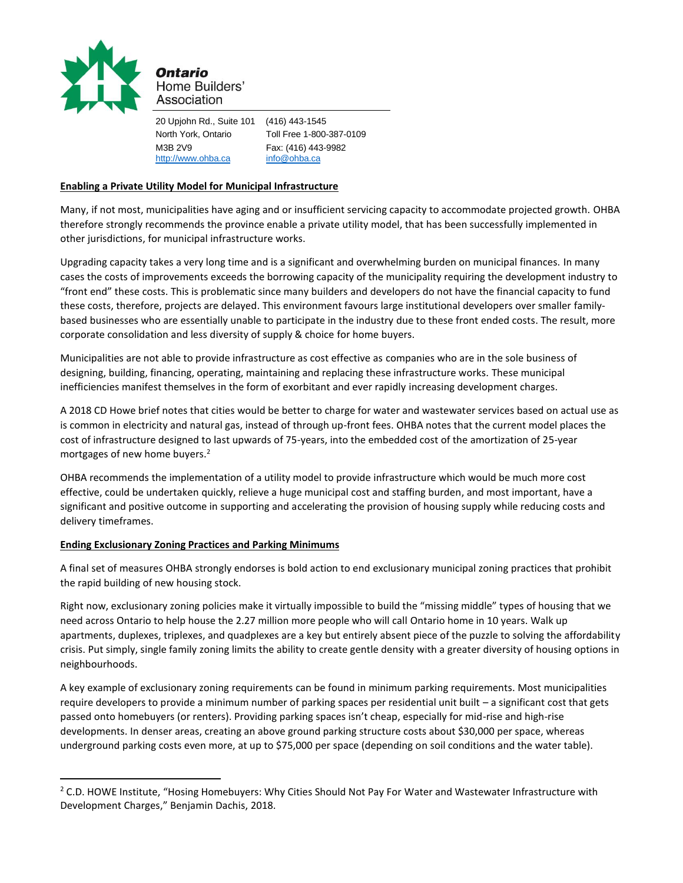

20 Upjohn Rd., Suite 101 (416) 443-1545 North York, Ontario Toll Free 1-800-387-0109 M3B 2V9 Fax: (416) 443-9982 [http://www.ohba.ca](http://www.ohba.ca/) [info@ohba.ca](mailto:info@ohba.ca)

# **Enabling a Private Utility Model for Municipal Infrastructure**

Many, if not most, municipalities have aging and or insufficient servicing capacity to accommodate projected growth. OHBA therefore strongly recommends the province enable a private utility model, that has been successfully implemented in other jurisdictions, for municipal infrastructure works.

Upgrading capacity takes a very long time and is a significant and overwhelming burden on municipal finances. In many cases the costs of improvements exceeds the borrowing capacity of the municipality requiring the development industry to "front end" these costs. This is problematic since many builders and developers do not have the financial capacity to fund these costs, therefore, projects are delayed. This environment favours large institutional developers over smaller familybased businesses who are essentially unable to participate in the industry due to these front ended costs. The result, more corporate consolidation and less diversity of supply & choice for home buyers.

Municipalities are not able to provide infrastructure as cost effective as companies who are in the sole business of designing, building, financing, operating, maintaining and replacing these infrastructure works. These municipal inefficiencies manifest themselves in the form of exorbitant and ever rapidly increasing development charges.

A 2018 CD Howe brief notes that cities would be better to charge for water and wastewater services based on actual use as is common in electricity and natural gas, instead of through up-front fees. OHBA notes that the current model places the cost of infrastructure designed to last upwards of 75-years, into the embedded cost of the amortization of 25-year mortgages of new home buyers.<sup>2</sup>

OHBA recommends the implementation of a utility model to provide infrastructure which would be much more cost effective, could be undertaken quickly, relieve a huge municipal cost and staffing burden, and most important, have a significant and positive outcome in supporting and accelerating the provision of housing supply while reducing costs and delivery timeframes.

## **Ending Exclusionary Zoning Practices and Parking Minimums**

A final set of measures OHBA strongly endorses is bold action to end exclusionary municipal zoning practices that prohibit the rapid building of new housing stock.

Right now, exclusionary zoning policies make it virtually impossible to build the "missing middle" types of housing that we need across Ontario to help house the 2.27 million more people who will call Ontario home in 10 years. Walk up apartments, duplexes, triplexes, and quadplexes are a key but entirely absent piece of the puzzle to solving the affordability crisis. Put simply, single family zoning limits the ability to create gentle density with a greater diversity of housing options in neighbourhoods.

A key example of exclusionary zoning requirements can be found in minimum parking requirements. Most municipalities require developers to provide a minimum number of parking spaces per residential unit built – a significant cost that gets passed onto homebuyers (or renters). Providing parking spaces isn't cheap, especially for mid-rise and high-rise developments. In denser areas, creating an above ground parking structure costs about \$30,000 per space, whereas underground parking costs even more, at up to \$75,000 per space (depending on soil conditions and the water table).

<sup>&</sup>lt;sup>2</sup> C.D. HOWE Institute, "Hosing Homebuyers: Why Cities Should Not Pay For Water and Wastewater Infrastructure with Development Charges," Benjamin Dachis, 2018.